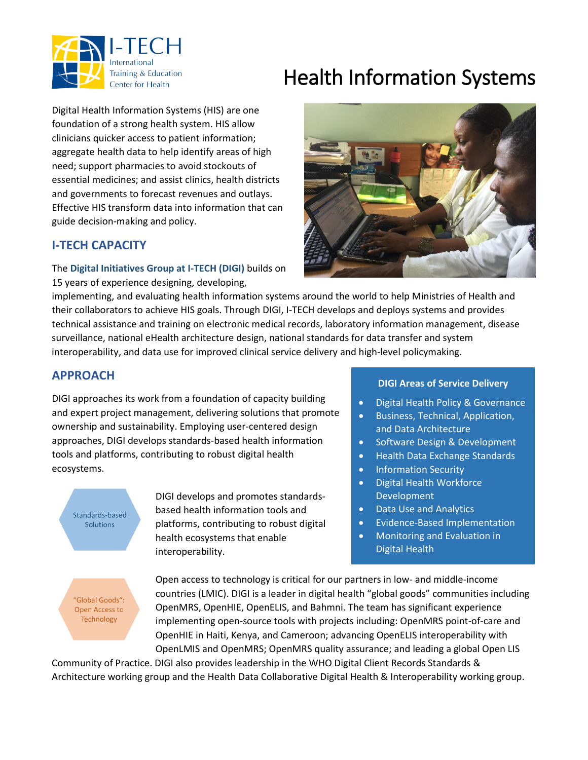

# Health Information Systems

Digital Health Information Systems (HIS) are one foundation of a strong health system. HIS allow clinicians quicker access to patient information; aggregate health data to help identify areas of high need; support pharmacies to avoid stockouts of essential medicines; and assist clinics, health districts and governments to forecast revenues and outlays. Effective HIS transform data into information that can guide decision-making and policy.

## **I-TECH CAPACITY**

The **Digital Initiatives Group at I-TECH (DIGI)** builds on 15 years of experience designing, developing,



implementing, and evaluating health information systems around the world to help Ministries of Health and their collaborators to achieve HIS goals. Through DIGI, I-TECH develops and deploys systems and provides technical assistance and training on electronic medical records, laboratory information management, disease surveillance, national eHealth architecture design, national standards for data transfer and system interoperability, and data use for improved clinical service delivery and high-level policymaking.

### **APPROACH**

DIGI approaches its work from a foundation of capacity building and expert project management, delivering solutions that promote ownership and sustainability. Employing user-centered design approaches, DIGI develops standards-based health information tools and platforms, contributing to robust digital health ecosystems.

Standards-based **Solutions** 

DIGI develops and promotes standardsbased health information tools and platforms, contributing to robust digital health ecosystems that enable interoperability.

#### **DIGI Areas of Service Delivery**

- Digital Health Policy & Governance
- Business, Technical, Application, and Data Architecture
- Software Design & Development
- Health Data Exchange Standards
- Information Security
- Digital Health Workforce Development
- Data Use and Analytics
- Evidence-Based Implementation
- Monitoring and Evaluation in Digital Health

"Global Goods": Open Access to Technology

Open access to technology is critical for our partners in low- and middle-income countries (LMIC). DIGI is a leader in digital health "global goods" communities including OpenMRS, OpenHIE, OpenELIS, and Bahmni. The team has significant experience implementing open-source tools with projects including: OpenMRS point-of-care and OpenHIE in Haiti, Kenya, and Cameroon; advancing OpenELIS interoperability with OpenLMIS and OpenMRS; OpenMRS quality assurance; and leading a global Open LIS

Community of Practice. DIGI also provides leadership in the WHO Digital Client Records Standards & Architecture working group and the Health Data Collaborative Digital Health & Interoperability working group.